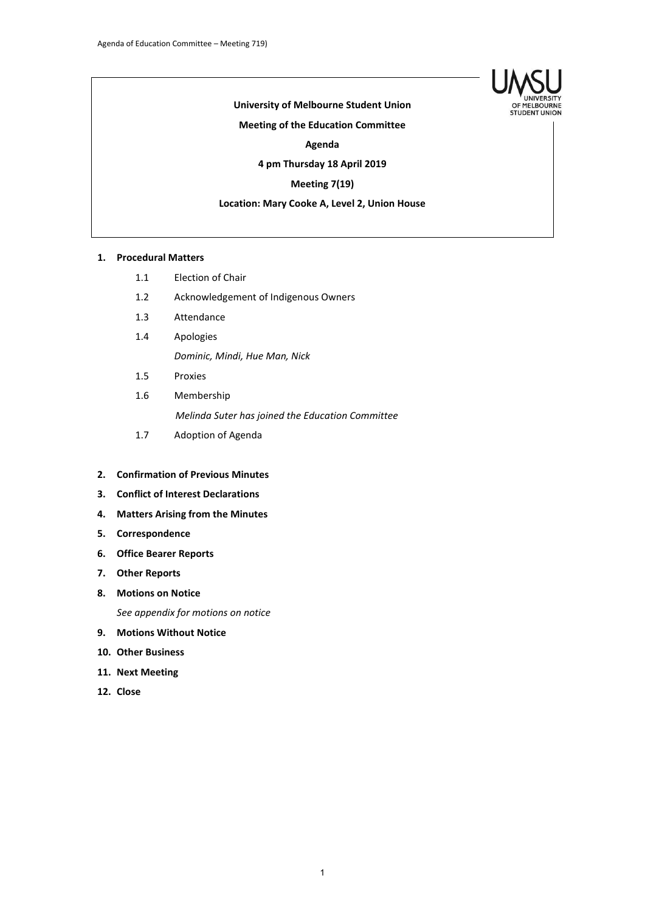

## **University of Melbourne Student Union**

#### **Meeting of the Education Committee**

**Agenda**

#### **4 pm Thursday 18 April 2019**

## **Meeting 7(19)**

## **Location: Mary Cooke A, Level 2, Union House**

#### **1. Procedural Matters**

- 1.1 Election of Chair
- 1.2 Acknowledgement of Indigenous Owners
- 1.3 Attendance
- 1.4 Apologies *Dominic, Mindi, Hue Man, Nick*
- 1.5 Proxies
- 1.6 Membership *Melinda Suter has joined the Education Committee*
- 1.7 Adoption of Agenda

## **2. Confirmation of Previous Minutes**

- **3. Conflict of Interest Declarations**
- **4. Matters Arising from the Minutes**
- **5. Correspondence**
- **6. Office Bearer Reports**
- **7. Other Reports**
- **8. Motions on Notice** *See appendix for motions on notice*
- **9. Motions Without Notice**
- **10. Other Business**
- **11. Next Meeting**
- **12. Close**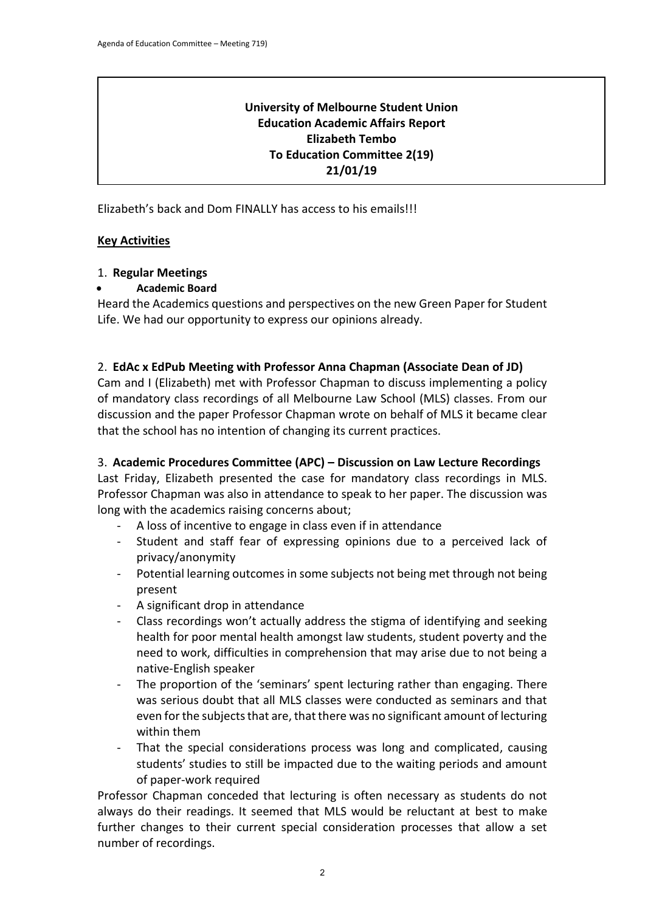# **University of Melbourne Student Union Education Academic Affairs Report Elizabeth Tembo To Education Committee 2(19) 21/01/19**

Elizabeth's back and Dom FINALLY has access to his emails!!!

# **Key Activities**

# 1. **Regular Meetings**

# • **Academic Board**

Heard the Academics questions and perspectives on the new Green Paper for Student Life. We had our opportunity to express our opinions already.

# 2. **EdAc x EdPub Meeting with Professor Anna Chapman (Associate Dean of JD)**

Cam and I (Elizabeth) met with Professor Chapman to discuss implementing a policy of mandatory class recordings of all Melbourne Law School (MLS) classes. From our discussion and the paper Professor Chapman wrote on behalf of MLS it became clear that the school has no intention of changing its current practices.

## 3. **Academic Procedures Committee (APC) – Discussion on Law Lecture Recordings**

Last Friday, Elizabeth presented the case for mandatory class recordings in MLS. Professor Chapman was also in attendance to speak to her paper. The discussion was long with the academics raising concerns about;

- A loss of incentive to engage in class even if in attendance
- Student and staff fear of expressing opinions due to a perceived lack of privacy/anonymity
- Potential learning outcomes in some subjects not being met through not being present
- A significant drop in attendance
- Class recordings won't actually address the stigma of identifying and seeking health for poor mental health amongst law students, student poverty and the need to work, difficulties in comprehension that may arise due to not being a native-English speaker
- The proportion of the 'seminars' spent lecturing rather than engaging. There was serious doubt that all MLS classes were conducted as seminars and that even for the subjects that are, that there was no significant amount of lecturing within them
- That the special considerations process was long and complicated, causing students' studies to still be impacted due to the waiting periods and amount of paper-work required

Professor Chapman conceded that lecturing is often necessary as students do not always do their readings. It seemed that MLS would be reluctant at best to make further changes to their current special consideration processes that allow a set number of recordings.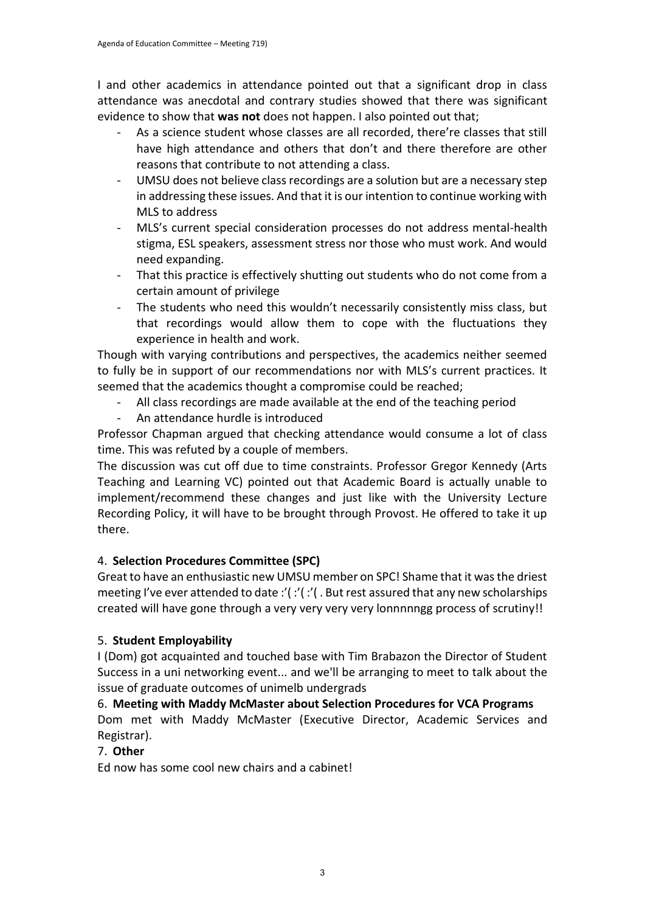I and other academics in attendance pointed out that a significant drop in class attendance was anecdotal and contrary studies showed that there was significant evidence to show that **was not** does not happen. I also pointed out that;

- As a science student whose classes are all recorded, there're classes that still have high attendance and others that don't and there therefore are other reasons that contribute to not attending a class.
- UMSU does not believe class recordings are a solution but are a necessary step in addressing these issues. And that it is our intention to continue working with MLS to address
- MLS's current special consideration processes do not address mental-health stigma, ESL speakers, assessment stress nor those who must work. And would need expanding.
- That this practice is effectively shutting out students who do not come from a certain amount of privilege
- The students who need this wouldn't necessarily consistently miss class, but that recordings would allow them to cope with the fluctuations they experience in health and work.

Though with varying contributions and perspectives, the academics neither seemed to fully be in support of our recommendations nor with MLS's current practices. It seemed that the academics thought a compromise could be reached;

- All class recordings are made available at the end of the teaching period
- An attendance hurdle is introduced

Professor Chapman argued that checking attendance would consume a lot of class time. This was refuted by a couple of members.

The discussion was cut off due to time constraints. Professor Gregor Kennedy (Arts Teaching and Learning VC) pointed out that Academic Board is actually unable to implement/recommend these changes and just like with the University Lecture Recording Policy, it will have to be brought through Provost. He offered to take it up there.

# 4. **Selection Procedures Committee (SPC)**

Great to have an enthusiastic new UMSU member on SPC! Shame that it was the driest meeting I've ever attended to date :'(:'( :'( . But rest assured that any new scholarships created will have gone through a very very very very lonnnnngg process of scrutiny!!

# 5. **Student Employability**

I (Dom) got acquainted and touched base with Tim Brabazon the Director of Student Success in a uni networking event... and we'll be arranging to meet to talk about the issue of graduate outcomes of unimelb undergrads

# 6. **Meeting with Maddy McMaster about Selection Procedures for VCA Programs**

Dom met with Maddy McMaster (Executive Director, Academic Services and Registrar).

# 7. **Other**

Ed now has some cool new chairs and a cabinet!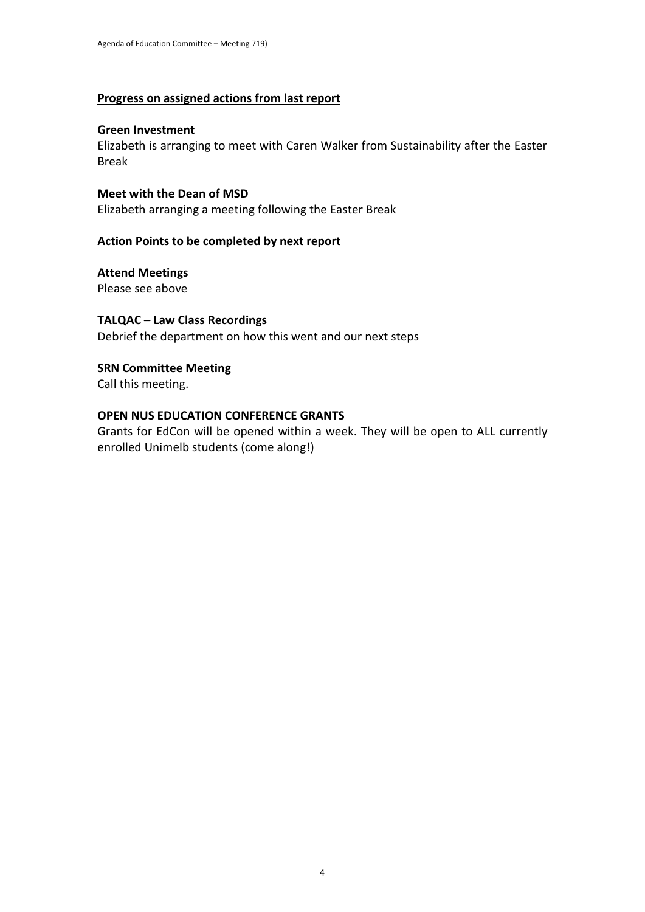## **Progress on assigned actions from last report**

## **Green Investment**

Elizabeth is arranging to meet with Caren Walker from Sustainability after the Easter Break

## **Meet with the Dean of MSD**

Elizabeth arranging a meeting following the Easter Break

## **Action Points to be completed by next report**

## **Attend Meetings** Please see above

# **TALQAC – Law Class Recordings**

Debrief the department on how this went and our next steps

# **SRN Committee Meeting**

Call this meeting.

# **OPEN NUS EDUCATION CONFERENCE GRANTS**

Grants for EdCon will be opened within a week. They will be open to ALL currently enrolled Unimelb students (come along!)